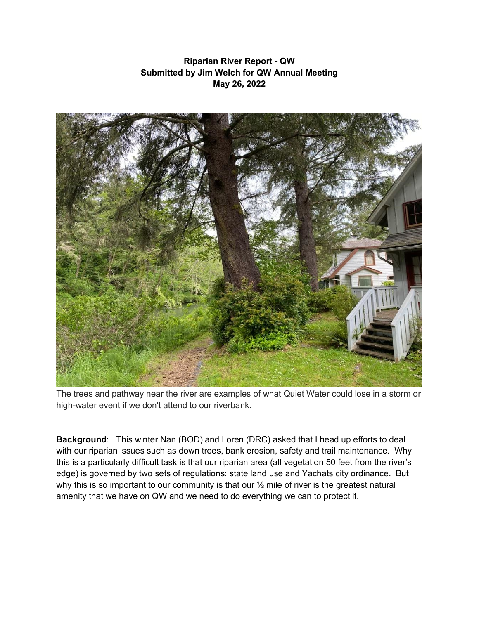## **Riparian River Report - QW Submitted by Jim Welch for QW Annual Meeting May 26, 2022**



The trees and pathway near the river are examples of what Quiet Water could lose in a storm or high-water event if we don't attend to our riverbank.

**Background**: This winter Nan (BOD) and Loren (DRC) asked that I head up efforts to deal with our riparian issues such as down trees, bank erosion, safety and trail maintenance. Why this is a particularly difficult task is that our riparian area (all vegetation 50 feet from the river's edge) is governed by two sets of regulations: state land use and Yachats city ordinance. But why this is so important to our community is that our 1⁄3 mile of river is the greatest natural amenity that we have on QW and we need to do everything we can to protect it.